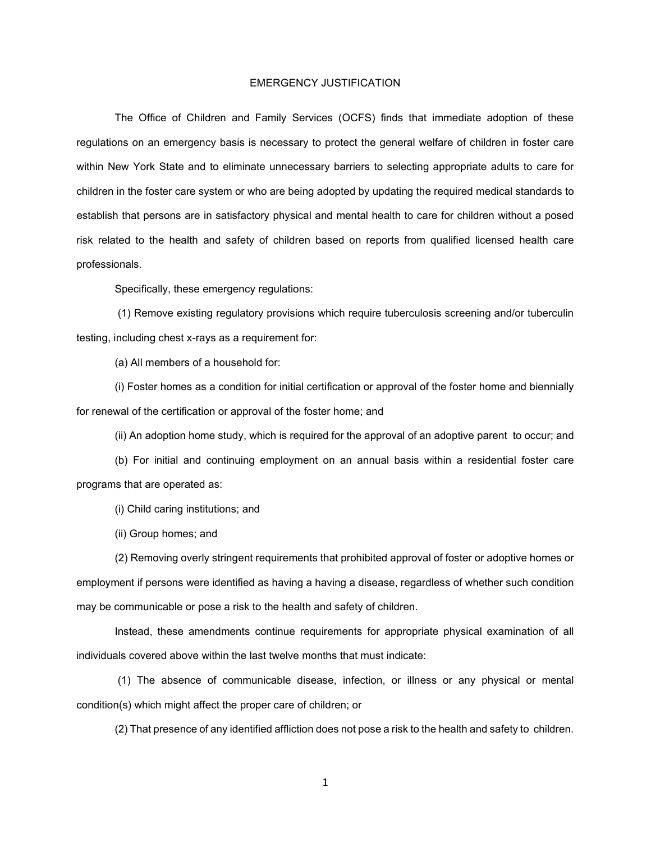## EMERGENCY JUSTIFICATION

The Office of Children and Family Services (OCFS) finds that immediate adoption of these regulations on an emergency basis is necessary to protect the general welfare of children in foster care within New York State and to eliminate unnecessary barriers to selecting appropriate adults to care for children in the foster care system or who are being adopted by updating the required medical standards to establish that persons are in satisfactory physical and mental health to care for children without a posed risk related to the health and safety of children based on reports from qualified licensed health care professionals.

Specifically, these emergency regulations:

(1) Remove existing regulatory provisions which require tuberculosis screening and/or tuberculin testing, including chest x-rays as a requirement for:

(a) All members of a household for:

(i) Foster homes as a condition for initial certification or approval of the foster home and biennially for renewal of the certification or approval of the foster home; and

(ii) An adoption home study, which is required for the approval of an adoptive parent to occur; and

(b) For initial and continuing employment on an annual basis within a residential foster care programs that are operated as:

(i) Child caring institutions; and

(ii) Group homes; and

(2) Removing overly stringent requirements that prohibited approval of foster or adoptive homes or employment if persons were identified as having a having a disease, regardless of whether such condition may be communicable or pose a risk to the health and safety of children.

Instead, these amendments continue requirements for appropriate physical examination of all individuals covered above within the last twelve months that must indicate:

(1) The absence of communicable disease, infection, or illness or any physical or mental condition(s) which might affect the proper care of children; or

(2) That presence of any identified affliction does not pose a risk to the health and safety to children.

1